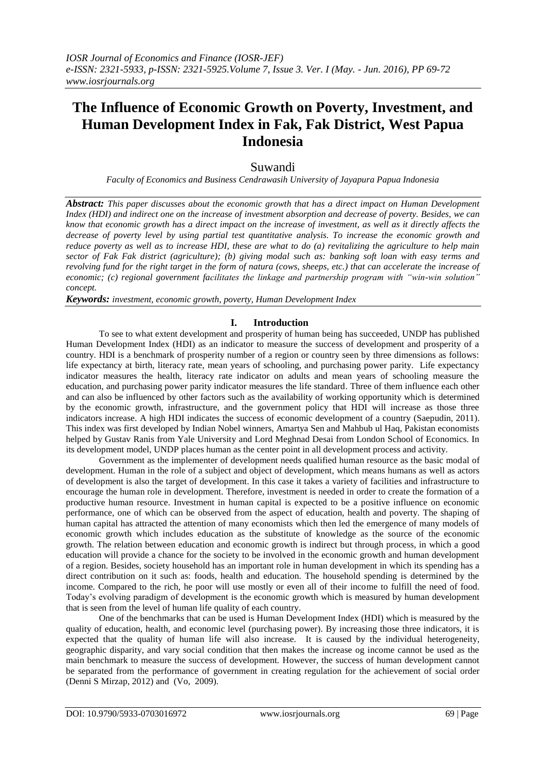# **The Influence of Economic Growth on Poverty, Investment, and Human Development Index in Fak, Fak District, West Papua Indonesia**

# Suwandi

*Faculty of Economics and Business Cendrawasih University of Jayapura Papua Indonesia*

*Abstract: This paper discusses about the economic growth that has a direct impact on Human Development Index (HDI) and indirect one on the increase of investment absorption and decrease of poverty. Besides, we can know that economic growth has a direct impact on the increase of investment, as well as it directly affects the decrease of poverty level by using partial test quantitative analysis. To increase the economic growth and reduce poverty as well as to increase HDI, these are what to do (a) revitalizing the agriculture to help main sector of Fak Fak district (agriculture); (b) giving modal such as: banking soft loan with easy terms and revolving fund for the right target in the form of natura (cows, sheeps, etc.) that can accelerate the increase of economic; (c) regional government facilitates the linkage and partnership program with "win-win solution" concept.*

*Keywords: investment, economic growth, poverty, Human Development Index*

## **I. Introduction**

To see to what extent development and prosperity of human being has succeeded, UNDP has published Human Development Index (HDI) as an indicator to measure the success of development and prosperity of a country. HDI is a benchmark of prosperity number of a region or country seen by three dimensions as follows: life expectancy at birth, literacy rate, mean years of schooling, and purchasing power parity. Life expectancy indicator measures the health, literacy rate indicator on adults and mean years of schooling measure the education, and purchasing power parity indicator measures the life standard. Three of them influence each other and can also be influenced by other factors such as the availability of working opportunity which is determined by the economic growth, infrastructure, and the government policy that HDI will increase as those three indicators increase. A high HDI indicates the success of economic development of a country (Saepudin, 2011). This index was first developed by Indian Nobel winners, Amartya Sen and Mahbub ul Haq, Pakistan economists helped by Gustav Ranis from Yale University and Lord Meghnad Desai from London School of Economics. In its development model, UNDP places human as the center point in all development process and activity.

Government as the implementer of development needs qualified human resource as the basic modal of development. Human in the role of a subject and object of development, which means humans as well as actors of development is also the target of development. In this case it takes a variety of facilities and infrastructure to encourage the human role in development. Therefore, investment is needed in order to create the formation of a productive human resource. Investment in human capital is expected to be a positive influence on economic performance, one of which can be observed from the aspect of education, health and poverty. The shaping of human capital has attracted the attention of many economists which then led the emergence of many models of economic growth which includes education as the substitute of knowledge as the source of the economic growth. The relation between education and economic growth is indirect but through process, in which a good education will provide a chance for the society to be involved in the economic growth and human development of a region. Besides, society household has an important role in human development in which its spending has a direct contribution on it such as: foods, health and education. The household spending is determined by the income. Compared to the rich, he poor will use mostly or even all of their income to fulfill the need of food. Today's evolving paradigm of development is the economic growth which is measured by human development that is seen from the level of human life quality of each country.

One of the benchmarks that can be used is Human Development Index (HDI) which is measured by the quality of education, health, and economic level (purchasing power). By increasing those three indicators, it is expected that the quality of human life will also increase. It is caused by the individual heterogeneity, geographic disparity, and vary social condition that then makes the increase og income cannot be used as the main benchmark to measure the success of development. However, the success of human development cannot be separated from the performance of government in creating regulation for the achievement of social order (Denni S Mirzap, 2012) and (Vo, 2009).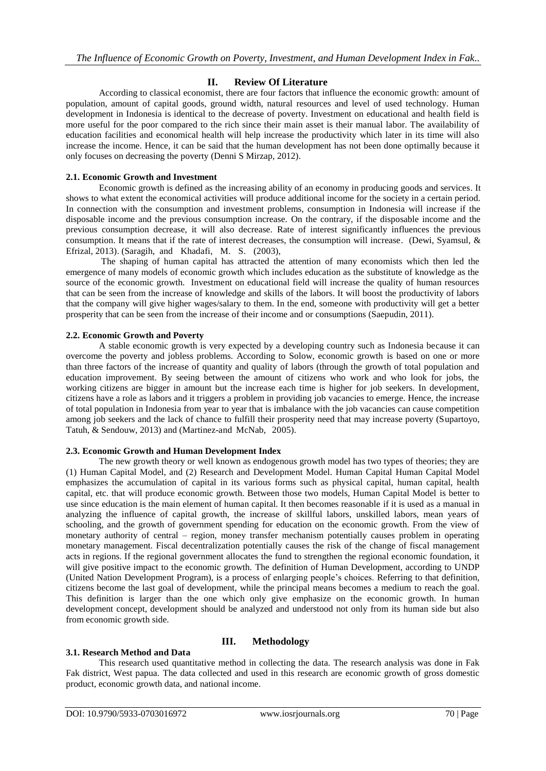## **II. Review Of Literature**

According to classical economist, there are four factors that influence the economic growth: amount of population, amount of capital goods, ground width, natural resources and level of used technology. Human development in Indonesia is identical to the decrease of poverty. Investment on educational and health field is more useful for the poor compared to the rich since their main asset is their manual labor. The availability of education facilities and economical health will help increase the productivity which later in its time will also increase the income. Hence, it can be said that the human development has not been done optimally because it only focuses on decreasing the poverty (Denni S Mirzap, 2012).

#### **2.1. Economic Growth and Investment**

Economic growth is defined as the increasing ability of an economy in producing goods and services. It shows to what extent the economical activities will produce additional income for the society in a certain period. In connection with the consumption and investment problems, consumption in Indonesia will increase if the disposable income and the previous consumption increase. On the contrary, if the disposable income and the previous consumption decrease, it will also decrease. Rate of interest significantly influences the previous consumption. It means that if the rate of interest decreases, the consumption will increase. (Dewi, Syamsul, & Efrizal, 2013). (Saragih, and Khadafi, M. S. (2003),

The shaping of human capital has attracted the attention of many economists which then led the emergence of many models of economic growth which includes education as the substitute of knowledge as the source of the economic growth. Investment on educational field will increase the quality of human resources that can be seen from the increase of knowledge and skills of the labors. It will boost the productivity of labors that the company will give higher wages/salary to them. In the end, someone with productivity will get a better prosperity that can be seen from the increase of their income and or consumptions (Saepudin, 2011).

#### **2.2. Economic Growth and Poverty**

A stable economic growth is very expected by a developing country such as Indonesia because it can overcome the poverty and jobless problems. According to Solow, economic growth is based on one or more than three factors of the increase of quantity and quality of labors (through the growth of total population and education improvement. By seeing between the amount of citizens who work and who look for jobs, the working citizens are bigger in amount but the increase each time is higher for job seekers. In development, citizens have a role as labors and it triggers a problem in providing job vacancies to emerge. Hence, the increase of total population in Indonesia from year to year that is imbalance with the job vacancies can cause competition among job seekers and the lack of chance to fulfill their prosperity need that may increase poverty (Supartoyo, Tatuh, & Sendouw, 2013) and (Martinez-and McNab, 2005).

#### **2.3. Economic Growth and Human Development Index**

The new growth theory or well known as endogenous growth model has two types of theories; they are (1) Human Capital Model, and (2) Research and Development Model. Human Capital Human Capital Model emphasizes the accumulation of capital in its various forms such as physical capital, human capital, health capital, etc. that will produce economic growth. Between those two models, Human Capital Model is better to use since education is the main element of human capital. It then becomes reasonable if it is used as a manual in analyzing the influence of capital growth, the increase of skillful labors, unskilled labors, mean years of schooling, and the growth of government spending for education on the economic growth. From the view of monetary authority of central – region, money transfer mechanism potentially causes problem in operating monetary management. Fiscal decentralization potentially causes the risk of the change of fiscal management acts in regions. If the regional government allocates the fund to strengthen the regional economic foundation, it will give positive impact to the economic growth. The definition of Human Development, according to UNDP (United Nation Development Program), is a process of enlarging people's choices. Referring to that definition, citizens become the last goal of development, while the principal means becomes a medium to reach the goal. This definition is larger than the one which only give emphasize on the economic growth. In human development concept, development should be analyzed and understood not only from its human side but also from economic growth side.

## **III. Methodology**

#### **3.1. Research Method and Data**

This research used quantitative method in collecting the data. The research analysis was done in Fak Fak district, West papua. The data collected and used in this research are economic growth of gross domestic product, economic growth data, and national income.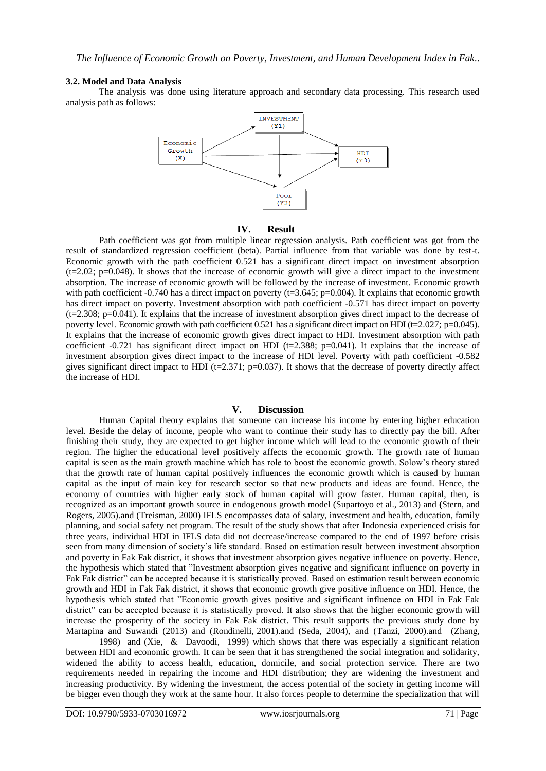#### **3.2. Model and Data Analysis**

The analysis was done using literature approach and secondary data processing. This research used analysis path as follows:



#### **IV. Result**

Path coefficient was got from multiple linear regression analysis. Path coefficient was got from the result of standardized regression coefficient (beta). Partial influence from that variable was done by test-t. Economic growth with the path coefficient 0.521 has a significant direct impact on investment absorption  $(t=2.02; p=0.048)$ . It shows that the increase of economic growth will give a direct impact to the investment absorption. The increase of economic growth will be followed by the increase of investment. Economic growth with path coefficient -0.740 has a direct impact on poverty ( $t=3.645$ ; p=0.004). It explains that economic growth has direct impact on poverty. Investment absorption with path coefficient -0.571 has direct impact on poverty  $(t=2.308; p=0.041)$ . It explains that the increase of investment absorption gives direct impact to the decrease of poverty level. Economic growth with path coefficient 0.521 has a significant direct impact on HDI (t=2.027; p=0.045). It explains that the increase of economic growth gives direct impact to HDI. Investment absorption with path coefficient -0.721 has significant direct impact on HDI (t=2.388; p=0.041). It explains that the increase of investment absorption gives direct impact to the increase of HDI level. Poverty with path coefficient -0.582 gives significant direct impact to HDI (t=2.371; p=0.037). It shows that the decrease of poverty directly affect the increase of HDI.

#### **V. Discussion**

Human Capital theory explains that someone can increase his income by entering higher education level. Beside the delay of income, people who want to continue their study has to directly pay the bill. After finishing their study, they are expected to get higher income which will lead to the economic growth of their region. The higher the educational level positively affects the economic growth. The growth rate of human capital is seen as the main growth machine which has role to boost the economic growth. Solow's theory stated that the growth rate of human capital positively influences the economic growth which is caused by human capital as the input of main key for research sector so that new products and ideas are found. Hence, the economy of countries with higher early stock of human capital will grow faster. Human capital, then, is recognized as an important growth source in endogenous growth model (Supartoyo et al., 2013) and **(**Stern, and Rogers, 2005).and (Treisman, 2000) IFLS encompasses data of salary, investment and health, education, family planning, and social safety net program. The result of the study shows that after Indonesia experienced crisis for three years, individual HDI in IFLS data did not decrease/increase compared to the end of 1997 before crisis seen from many dimension of society's life standard. Based on estimation result between investment absorption and poverty in Fak Fak district, it shows that investment absorption gives negative influence on poverty. Hence, the hypothesis which stated that "Investment absorption gives negative and significant influence on poverty in Fak Fak district" can be accepted because it is statistically proved. Based on estimation result between economic growth and HDI in Fak Fak district, it shows that economic growth give positive influence on HDI. Hence, the hypothesis which stated that "Economic growth gives positive and significant influence on HDI in Fak Fak district" can be accepted because it is statistically proved. It also shows that the higher economic growth will increase the prosperity of the society in Fak Fak district. This result supports the previous study done by Martapina and Suwandi (2013) and (Rondinelli, 2001).and (Seda, 2004), and (Tanzi, 2000).and (Zhang,

1998) and (Xie, & Davoodi, 1999) which shows that there was especially a significant relation between HDI and economic growth. It can be seen that it has strengthened the social integration and solidarity, widened the ability to access health, education, domicile, and social protection service. There are two requirements needed in repairing the income and HDI distribution; they are widening the investment and increasing productivity. By widening the investment, the access potential of the society in getting income will be bigger even though they work at the same hour. It also forces people to determine the specialization that will